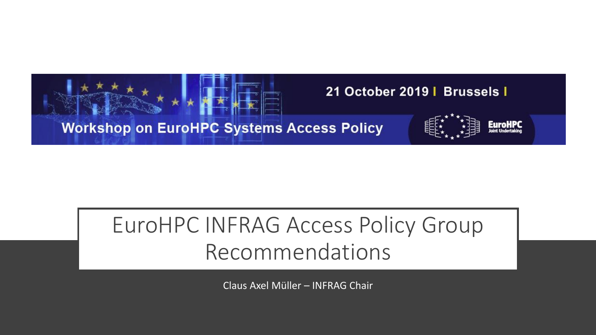

## EuroHPC INFRAG Access Policy Group Recommendations

Claus Axel Müller – INFRAG Chair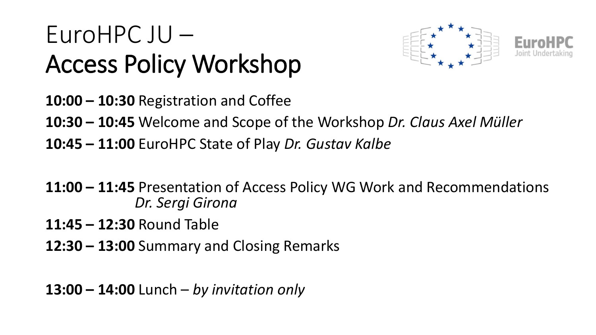# EuroHPC JU – Access Policy Workshop



- **10:00 – 10:30** Registration and Coffee
- **10:30 – 10:45** Welcome and Scope of the Workshop *Dr. Claus Axel Müller*
- **10:45 – 11:00** EuroHPC State of Play *Dr. Gustav Kalbe*
- **11:00 – 11:45** Presentation of Access Policy WG Work and Recommendations *Dr. Sergi Girona*
- **11:45 – 12:30** Round Table
- **12:30 – 13:00** Summary and Closing Remarks

**13:00 – 14:00** Lunch – *by invitation only*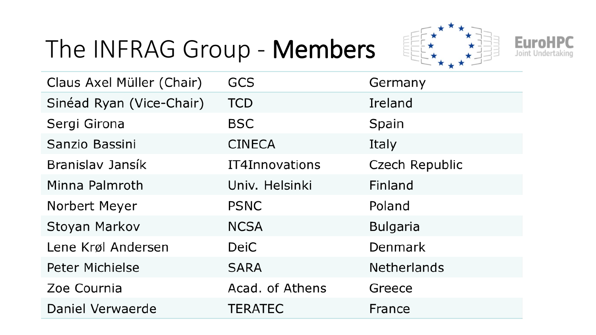# The INFRAG Group - Members





| Claus Axel Müller (Chair) | <b>GCS</b>      | Germany            |
|---------------------------|-----------------|--------------------|
| Sinéad Ryan (Vice-Chair)  | <b>TCD</b>      | Ireland            |
| Sergi Girona              | <b>BSC</b>      | Spain              |
| Sanzio Bassini            | <b>CINECA</b>   | Italy              |
| Branislav Jansík          | IT4Innovations  | Czech Republic     |
| Minna Palmroth            | Univ. Helsinki  | Finland            |
| Norbert Meyer             | <b>PSNC</b>     | Poland             |
| Stoyan Markov             | <b>NCSA</b>     | <b>Bulgaria</b>    |
| Lene Krøl Andersen        | <b>DeiC</b>     | Denmark            |
| <b>Peter Michielse</b>    | <b>SARA</b>     | <b>Netherlands</b> |
| Zoe Cournia               | Acad. of Athens | Greece             |
| Daniel Verwaerde          | <b>TERATEC</b>  | France             |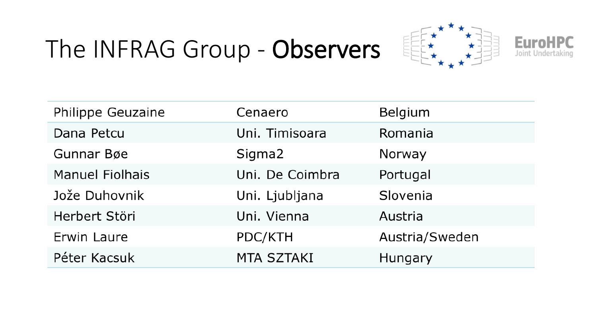# The INFRAG Group - Observers





| Philippe Geuzaine      | Cenaero           | Belgium        |
|------------------------|-------------------|----------------|
| Dana Petcu             | Uni. Timisoara    | Romania        |
| Gunnar Bøe             | Sigma2            | Norway         |
| <b>Manuel Fiolhais</b> | Uni. De Coimbra   | Portugal       |
| Jože Duhovnik          | Uni. Ljubljana    | Slovenia       |
| Herbert Störi          | Uni. Vienna       | Austria        |
| Erwin Laure            | PDC/KTH           | Austria/Sweden |
| Péter Kacsuk           | <b>MTA SZTAKI</b> | Hungary        |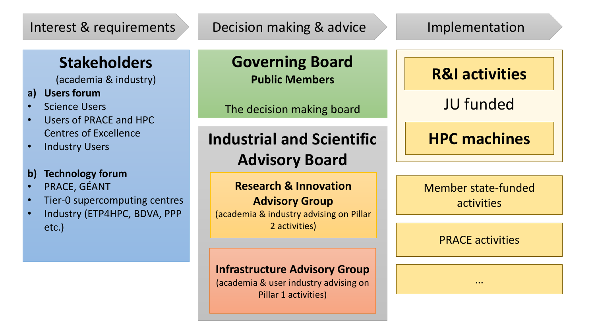#### Interest & requirements Decision making & advice Implementation

#### **Stakeholders**

(academia & industry)

- **a) Users forum**
- **Science Users**
- Users of PRACE and HPC Centres of Excellence
- Industry Users

#### **b) Technology forum**

- PRACE, GÉANT
- Tier-0 supercomputing centres
- Industry (ETP4HPC, BDVA, PPP etc.)

### **Governing Board**

**Public Members**

The decision making board

#### **Industrial and Scientific Advisory Board**

**Research & Innovation Advisory Group** (academia & industry advising on Pillar 2 activities)

#### **Infrastructure Advisory Group**

(academia & user industry advising on Pillar 1 activities)

**R&I activities**

JU funded

#### **HPC machines**

Member state-funded activities

PRACE activities

…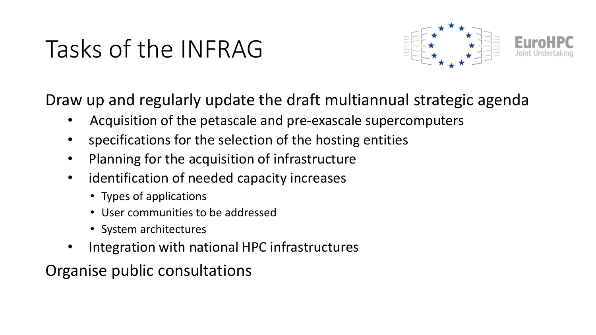# Tasks of the INFRAG



Draw up and regularly update the draft multiannual strategic agenda

- Acquisition of the petascale and pre-exascale supercomputers
- specifications for the selection of the hosting entities
- Planning for the acquisition of infrastructure
- identification of needed capacity increases
	- Types of applications
	- User communities to be addressed
	- System architectures
- Integration with national HPC infrastructures

Organise public consultations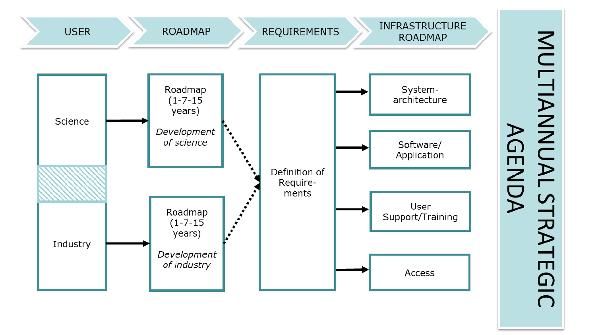

MULTIANNUAL STRATEGIC<br>ASSENDA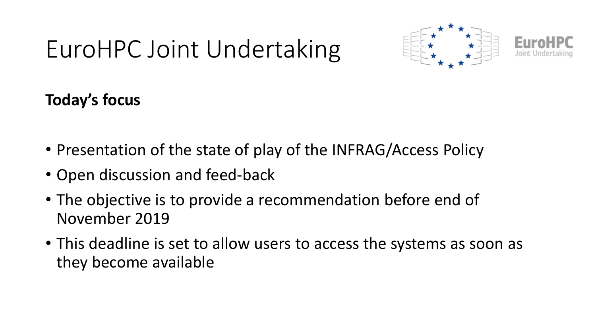# EuroHPC Joint Undertaking



**Today's focus**

- Presentation of the state of play of the INFRAG/Access Policy
- Open discussion and feed-back
- The objective is to provide a recommendation before end of November 2019
- This deadline is set to allow users to access the systems as soon as they become available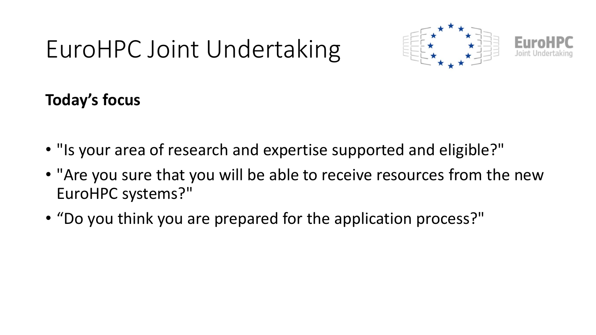# EuroHPC Joint Undertaking



**Today's focus**

- "Is your area of research and expertise supported and eligible?"
- "Are you sure that you will be able to receive resources from the new EuroHPC systems?"
- "Do you think you are prepared for the application process?"